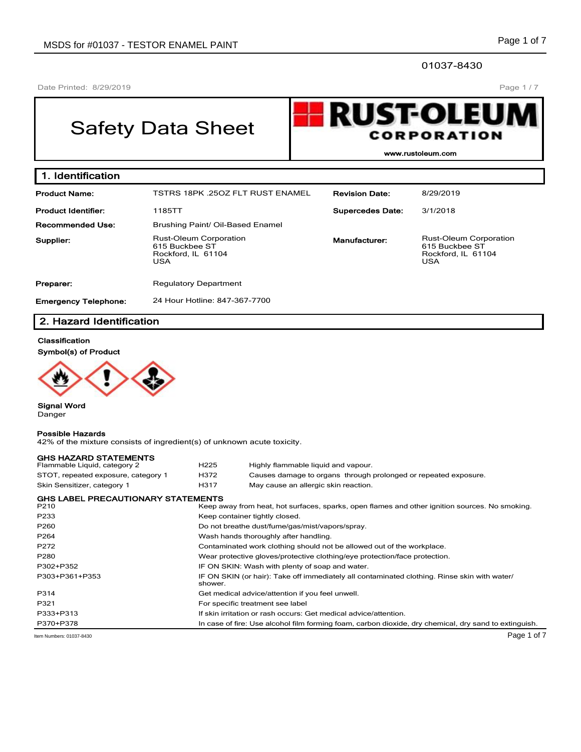01037-8430

Date Printed: 8/29/2019

# Safety Data Sheet



**www.rustoleum.com**

| 1. Identification           |                                                                                     |                         |                                                                                     |
|-----------------------------|-------------------------------------------------------------------------------------|-------------------------|-------------------------------------------------------------------------------------|
| <b>Product Name:</b>        | <b>TSTRS 18PK .25OZ FLT RUST ENAMEL</b>                                             | <b>Revision Date:</b>   | 8/29/2019                                                                           |
| <b>Product Identifier:</b>  | 1185TT                                                                              | <b>Supercedes Date:</b> | 3/1/2018                                                                            |
| Recommended Use:            | Brushing Paint/ Oil-Based Enamel                                                    |                         |                                                                                     |
| Supplier:                   | <b>Rust-Oleum Corporation</b><br>615 Buckbee ST<br>Rockford, IL 61104<br><b>USA</b> | Manufacturer:           | <b>Rust-Oleum Corporation</b><br>615 Buckbee ST<br>Rockford, IL 61104<br><b>USA</b> |
| Preparer:                   | <b>Regulatory Department</b>                                                        |                         |                                                                                     |
| <b>Emergency Telephone:</b> | 24 Hour Hotline: 847-367-7700                                                       |                         |                                                                                     |

# **2. Hazard Identification**

#### **Classification**

**Symbol(s) of Product**



**Signal Word** Danger

**Possible Hazards**

## 42% of the mixture consists of ingredient(s) of unknown acute toxicity. **GHS HAZARD STATEMENTS**<br>Flammable Liquid, category 2 H225 Highly flammable liquid and vapour. STOT, repeated exposure, category 1 H372 Causes damage to organs through prolonged or repeated exposure. Skin Sensitizer, category 1 **H317** May cause an allergic skin reaction. **GHS LABEL PRECAUTIONARY STATEMENTS** Keep away from heat, hot surfaces, sparks, open flames and other ignition sources. No smoking. P233 Reep container tightly closed. P260 Do not breathe dust/fume/gas/mist/vapors/spray. P264 **Wash hands thoroughly after handling.** P272 Contaminated work clothing should not be allowed out of the workplace. P280 Wear protective gloves/protective clothing/eye protection/face protection. P302+P352 IF ON SKIN: Wash with plenty of soap and water. P303+P361+P353 **IF ON SKIN (or hair): Take off immediately all contaminated clothing. Rinse skin with water/** shower. P314 Get medical advice/attention if you feel unwell. P321 For specific treatment see label P333+P313 If skin irritation or rash occurs: Get medical advice/attention. P370+P378 In case of fire: Use alcohol film forming foam, carbon dioxide, dry chemical, dry sand to extinguish. Item Numbers: 01037-8430 Page 1 of 7

Page 1 / 7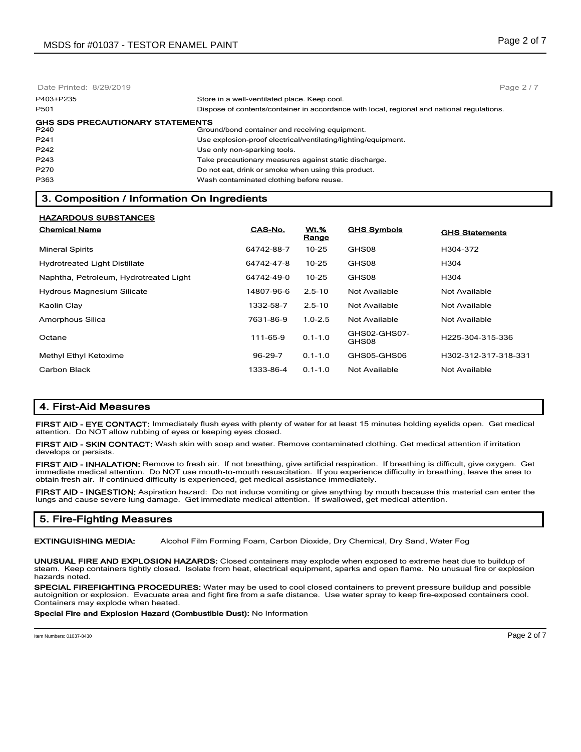| Date Printed: 8/29/2019                         | Page $2/7$                                                                                 |
|-------------------------------------------------|--------------------------------------------------------------------------------------------|
| P403+P235                                       | Store in a well-ventilated place. Keep cool.                                               |
| P501                                            | Dispose of contents/container in accordance with local, regional and national regulations. |
| <b>GHS SDS PRECAUTIONARY STATEMENTS</b><br>P240 | Ground/bond container and receiving equipment.                                             |
| P241                                            | Use explosion-proof electrical/ventilating/lighting/equipment.                             |
| P242                                            | Use only non-sparking tools.                                                               |
| P243                                            | Take precautionary measures against static discharge.                                      |
| P270                                            | Do not eat, drink or smoke when using this product.                                        |
| P363                                            | Wash contaminated clothing before reuse.                                                   |

# **3. Composition / Information On Ingredients**

| HAZARDOUS SUBSTANCES                   |            |                      |                       |                       |
|----------------------------------------|------------|----------------------|-----------------------|-----------------------|
| <b>Chemical Name</b>                   | CAS-No.    | <b>Wt.%</b><br>Range | <b>GHS Symbols</b>    | <b>GHS Statements</b> |
| <b>Mineral Spirits</b>                 | 64742-88-7 | $10 - 25$            | GHS08                 | H304-372              |
| <b>Hydrotreated Light Distillate</b>   | 64742-47-8 | $10 - 25$            | GHS08                 | H304                  |
| Naphtha, Petroleum, Hydrotreated Light | 64742-49-0 | $10 - 25$            | GHS08                 | H304                  |
| <b>Hydrous Magnesium Silicate</b>      | 14807-96-6 | $2.5 - 10$           | Not Available         | Not Available         |
| Kaolin Clay                            | 1332-58-7  | $2.5 - 10$           | Not Available         | Not Available         |
| Amorphous Silica                       | 7631-86-9  | $1.0 - 2.5$          | Not Available         | Not Available         |
| Octane                                 | 111-65-9   | $0.1 - 1.0$          | GHS02-GHS07-<br>GHS08 | H225-304-315-336      |
| Methyl Ethyl Ketoxime                  | 96-29-7    | $0.1 - 1.0$          | GHS05-GHS06           | H302-312-317-318-331  |
| Carbon Black                           | 1333-86-4  | $0.1 - 1.0$          | Not Available         | Not Available         |

# **4. First-Aid Measures**

**HAZARDOUS SUBSTANCES**

**FIRST AID - EYE CONTACT:** Immediately flush eyes with plenty of water for at least 15 minutes holding eyelids open. Get medical attention. Do NOT allow rubbing of eyes or keeping eyes closed.

**FIRST AID - SKIN CONTACT:** Wash skin with soap and water. Remove contaminated clothing. Get medical attention if irritation develops or persists.

**FIRST AID - INHALATION:** Remove to fresh air. If not breathing, give artificial respiration. If breathing is difficult, give oxygen. Get immediate medical attention. Do NOT use mouth-to-mouth resuscitation. If you experience difficulty in breathing, leave the area to obtain fresh air. If continued difficulty is experienced, get medical assistance immediately.

**FIRST AID - INGESTION:** Aspiration hazard: Do not induce vomiting or give anything by mouth because this material can enter the lungs and cause severe lung damage. Get immediate medical attention. If swallowed, get medical attention.

# **5. Fire-Fighting Measures**

**EXTINGUISHING MEDIA:** Alcohol Film Forming Foam, Carbon Dioxide, Dry Chemical, Dry Sand, Water Fog

**UNUSUAL FIRE AND EXPLOSION HAZARDS:** Closed containers may explode when exposed to extreme heat due to buildup of steam. Keep containers tightly closed. Isolate from heat, electrical equipment, sparks and open flame. No unusual fire or explosion hazards noted.

**SPECIAL FIREFIGHTING PROCEDURES:** Water may be used to cool closed containers to prevent pressure buildup and possible autoignition or explosion. Evacuate area and fight fire from a safe distance. Use water spray to keep fire-exposed containers cool. Containers may explode when heated.

#### **Special Fire and Explosion Hazard (Combustible Dust):** No Information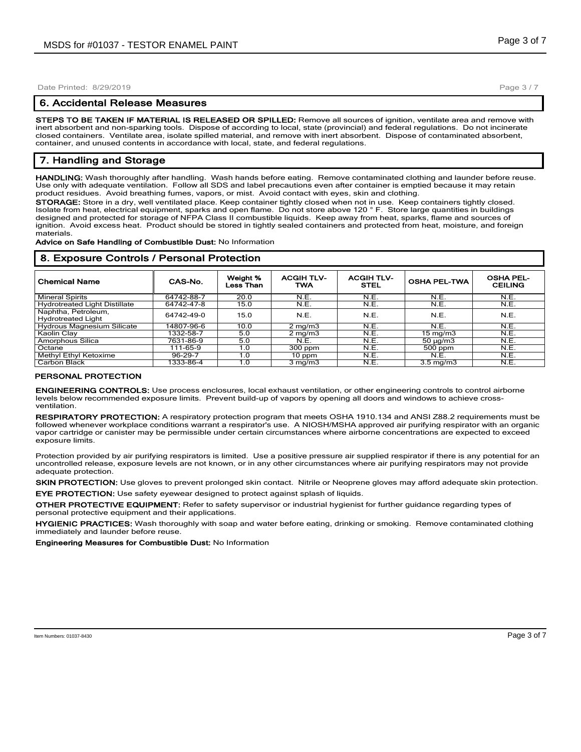#### **6. Accidental Release Measures**

**STEPS TO BE TAKEN IF MATERIAL IS RELEASED OR SPILLED:** Remove all sources of ignition, ventilate area and remove with inert absorbent and non-sparking tools. Dispose of according to local, state (provincial) and federal regulations. Do not incinerate closed containers. Ventilate area, isolate spilled material, and remove with inert absorbent. Dispose of contaminated absorbent, container, and unused contents in accordance with local, state, and federal regulations.

# **7. Handling and Storage**

**HANDLING:** Wash thoroughly after handling. Wash hands before eating. Remove contaminated clothing and launder before reuse. Use only with adequate ventilation. Follow all SDS and label precautions even after container is emptied because it may retain product residues. Avoid breathing fumes, vapors, or mist. Avoid contact with eyes, skin and clothing.

**STORAGE:** Store in a dry, well ventilated place. Keep container tightly closed when not in use. Keep containers tightly closed. Isolate from heat, electrical equipment, sparks and open flame. Do not store above 120 ° F. Store large quantities in buildings designed and protected for storage of NFPA Class II combustible liquids. Keep away from heat, sparks, flame and sources of ignition. Avoid excess heat. Product should be stored in tightly sealed containers and protected from heat, moisture, and foreign materials.

#### **Advice on Safe Handling of Combustible Dust:** No Information

**8. Exposure Controls / Personal Protection**

| <b>Chemical Name</b>                             | CAS-No.    | Weight %<br>Less Than | <b>ACGIH TLV-</b><br><b>TWA</b> | <b>ACGIH TLV-</b><br><b>STEL</b> | <b>OSHA PEL-TWA</b> | <b>OSHA PEL-</b><br><b>CEILING</b> |  |
|--------------------------------------------------|------------|-----------------------|---------------------------------|----------------------------------|---------------------|------------------------------------|--|
| <b>Mineral Spirits</b>                           | 64742-88-7 | 20.0                  | N.E.                            | N.E.                             | N.E.                | N.E.                               |  |
| <b>Hydrotreated Light Distillate</b>             | 64742-47-8 | 15.0                  | N.E.                            | N.E.                             | N.E.                | N.E.                               |  |
| Naphtha, Petroleum,<br><b>Hydrotreated Light</b> | 64742-49-0 | 15.0                  | N.E.                            | N.E.                             | N.E.                | N.E.                               |  |
| <b>Hydrous Magnesium Silicate</b>                | 14807-96-6 | 10.0                  | $2 \text{ mg/m}$                | N.E.                             | N.E.                | N.E.                               |  |
| Kaolin Clay                                      | 1332-58-7  | 5.0                   | $2 \text{ mg/m}$                | N.E.                             | $15 \text{ mg/m}$   | N.E.                               |  |
| Amorphous Silica                                 | 7631-86-9  | 5.0                   | N.E.                            | N.E.                             | $50 \mu g/m3$       | N.E.                               |  |
| Octane                                           | 111-65-9   | 1.0                   | 300 ppm                         | N.E.                             | 500 ppm             | N.E.                               |  |
| Methyl Ethyl Ketoxime                            | 96-29-7    | 1.0                   | 10 ppm                          | N.E.                             | N.E.                | N.E.                               |  |
| Carbon Black                                     | 1333-86-4  | 1.0                   | $3 \text{ mg/m}$                | N.E.                             | $3.5 \text{ mg/m}$  | N.E.                               |  |

## **PERSONAL PROTECTION**

**ENGINEERING CONTROLS:** Use process enclosures, local exhaust ventilation, or other engineering controls to control airborne levels below recommended exposure limits. Prevent build-up of vapors by opening all doors and windows to achieve crossventilation.

**RESPIRATORY PROTECTION:** A respiratory protection program that meets OSHA 1910.134 and ANSI Z88.2 requirements must be followed whenever workplace conditions warrant a respirator's use. A NIOSH/MSHA approved air purifying respirator with an organic vapor cartridge or canister may be permissible under certain circumstances where airborne concentrations are expected to exceed exposure limits.

Protection provided by air purifying respirators is limited. Use a positive pressure air supplied respirator if there is any potential for an uncontrolled release, exposure levels are not known, or in any other circumstances where air purifying respirators may not provide adequate protection.

**SKIN PROTECTION:** Use gloves to prevent prolonged skin contact. Nitrile or Neoprene gloves may afford adequate skin protection.

**EYE PROTECTION:** Use safety eyewear designed to protect against splash of liquids.

**OTHER PROTECTIVE EQUIPMENT:** Refer to safety supervisor or industrial hygienist for further guidance regarding types of personal protective equipment and their applications.

**HYGIENIC PRACTICES:** Wash thoroughly with soap and water before eating, drinking or smoking. Remove contaminated clothing immediately and launder before reuse.

**Engineering Measures for Combustible Dust:** No Information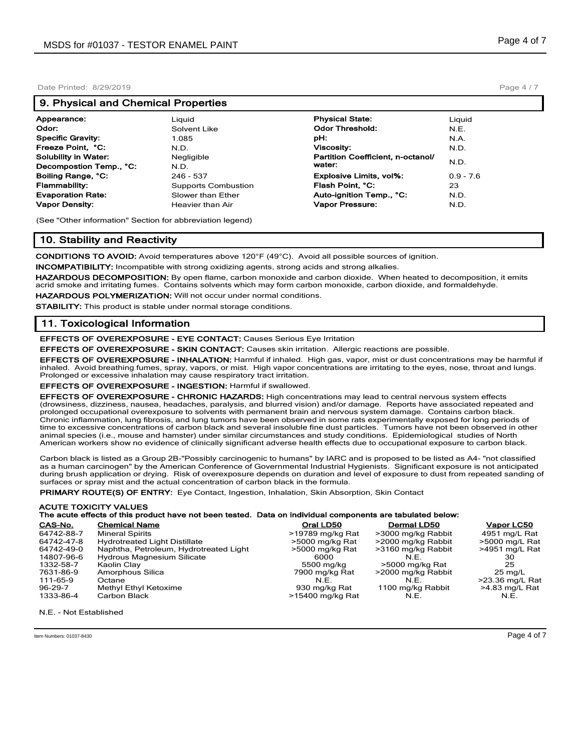## **9. Physical and Chemical Properties**

| Appearance:              | Liguid                     | <b>Physical State:</b>            | Liguid      |
|--------------------------|----------------------------|-----------------------------------|-------------|
| Odor:                    | Solvent Like               | <b>Odor Threshold:</b>            | N.E.        |
| Specific Gravity:        | 1.085                      | pH:                               | N.A.        |
| Freeze Point, °C:        | N.D.                       | <b>Viscosity:</b>                 | N.D.        |
| Solubility in Water:     | Negligible                 | Partition Coefficient, n-octanol/ |             |
| Decompostion Temp., °C:  | N.D.                       | water:                            | N.D.        |
| Boiling Range, °C:       | 246 - 537                  | <b>Explosive Limits, vol%:</b>    | $0.9 - 7.6$ |
| Flammability:            | <b>Supports Combustion</b> | Flash Point. °C:                  | 23          |
| <b>Evaporation Rate:</b> | Slower than Ether          | Auto-ignition Temp., °C:          | N.D.        |
| Vapor Density:           | Heavier than Air           | Vapor Pressure:                   | N.D.        |
|                          |                            |                                   |             |

(See "Other information" Section for abbreviation legend)

## **10. Stability and Reactivity**

**CONDITIONS TO AVOID:** Avoid temperatures above 120°F (49°C). Avoid all possible sources of ignition.

**INCOMPATIBILITY:** Incompatible with strong oxidizing agents, strong acids and strong alkalies.

**HAZARDOUS DECOMPOSITION:** By open flame, carbon monoxide and carbon dioxide. When heated to decomposition, it emits acrid smoke and irritating fumes. Contains solvents which may form carbon monoxide, carbon dioxide, and formaldehyde.

**HAZARDOUS POLYMERIZATION:** Will not occur under normal conditions.

**STABILITY:** This product is stable under normal storage conditions.

## **11. Toxicological Information**

**EFFECTS OF OVEREXPOSURE - EYE CONTACT:** Causes Serious Eye Irritation

**EFFECTS OF OVEREXPOSURE - SKIN CONTACT:** Causes skin irritation. Allergic reactions are possible.

**EFFECTS OF OVEREXPOSURE - INHALATION:** Harmful if inhaled. High gas, vapor, mist or dust concentrations may be harmful if inhaled. Avoid breathing fumes, spray, vapors, or mist. High vapor concentrations are irritating to the eyes, nose, throat and lungs. Prolonged or excessive inhalation may cause respiratory tract irritation.

**EFFECTS OF OVEREXPOSURE - INGESTION:** Harmful if swallowed.

**EFFECTS OF OVEREXPOSURE - CHRONIC HAZARDS:** High concentrations may lead to central nervous system effects (drowsiness, dizziness, nausea, headaches, paralysis, and blurred vision) and/or damage. Reports have associated repeated and prolonged occupational overexposure to solvents with permanent brain and nervous system damage. Contains carbon black. Chronic inflammation, lung fibrosis, and lung tumors have been observed in some rats experimentally exposed for long periods of time to excessive concentrations of carbon black and several insoluble fine dust particles. Tumors have not been observed in other animal species (i.e., mouse and hamster) under similar circumstances and study conditions. Epidemiological studies of North American workers show no evidence of clinically significant adverse health effects due to occupational exposure to carbon black.

Carbon black is listed as a Group 2B-"Possibly carcinogenic to humans" by IARC and is proposed to be listed as A4- "not classified as a human carcinogen" by the American Conference of Governmental Industrial Hygienists. Significant exposure is not anticipated during brush application or drying. Risk of overexposure depends on duration and level of exposure to dust from repeated sanding of surfaces or spray mist and the actual concentration of carbon black in the formula.

**PRIMARY ROUTE(S) OF ENTRY:** Eye Contact, Ingestion, Inhalation, Skin Absorption, Skin Contact

#### **ACUTE TOXICITY VALUES The acute effects of this product have not been tested. Data on individual components are tabulated below:**

| CAS-No.    | <b>Chemical Name</b>                   | Oral LD50        | Dermal LD50        | Vapor LC50        |
|------------|----------------------------------------|------------------|--------------------|-------------------|
| 64742-88-7 | <b>Mineral Spirits</b>                 | >19789 mg/kg Rat | >3000 mg/kg Rabbit | 4951 mg/L Rat     |
| 64742-47-8 | <b>Hydrotreated Light Distillate</b>   | >5000 mg/kg Rat  | >2000 mg/kg Rabbit | >5000 mg/L Rat    |
| 64742-49-0 | Naphtha, Petroleum, Hydrotreated Light | >5000 mg/kg Rat  | >3160 mg/kg Rabbit | >4951 mg/L Rat    |
| 14807-96-6 | Hydrous Magnesium Silicate             | 6000             | N.E.               | 30                |
| 1332-58-7  | Kaolin Clay                            | 5500 mg/kg       | >5000 mg/kg Rat    | 25                |
| 7631-86-9  | Amorphous Silica                       | 7900 mg/kg Rat   | >2000 mg/kg Rabbit | $25 \text{ ma/L}$ |
| 111-65-9   | Octane                                 | N F              | N.E.               | >23.36 mg/L Rat   |
| 96-29-7    | Methyl Ethyl Ketoxime                  | 930 mg/kg Rat    | 1100 mg/kg Rabbit  | >4.83 mg/L Rat    |
| 1333-86-4  | Carbon Black                           | >15400 mg/kg Rat | N.E.               | N.E.              |

N.E. - Not Established

Page 4 / 7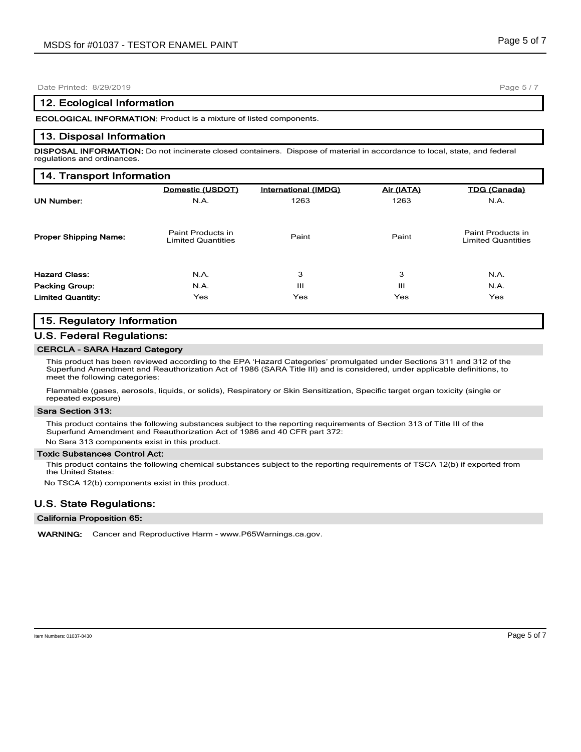## **12. Ecological Information**

**ECOLOGICAL INFORMATION:** Product is a mixture of listed components.

## **13. Disposal Information**

**DISPOSAL INFORMATION:** Do not incinerate closed containers. Dispose of material in accordance to local, state, and federal regulations and ordinances.

| 14. Transport Information    |                                                |                      |            |                                                |  |  |  |
|------------------------------|------------------------------------------------|----------------------|------------|------------------------------------------------|--|--|--|
|                              | Domestic (USDOT)                               | International (IMDG) | Air (IATA) | <b>TDG (Canada)</b>                            |  |  |  |
| <b>UN Number:</b>            | N.A.                                           | 1263                 | 1263       | N.A.                                           |  |  |  |
| <b>Proper Shipping Name:</b> | Paint Products in<br><b>Limited Quantities</b> | Paint                | Paint      | Paint Products in<br><b>Limited Quantities</b> |  |  |  |
| <b>Hazard Class:</b>         | N.A.                                           | 3                    | 3          | N.A.                                           |  |  |  |
| <b>Packing Group:</b>        | N.A.                                           | Ш                    | Ш          | N.A.                                           |  |  |  |
| <b>Limited Quantity:</b>     | Yes                                            | Yes                  | Yes        | Yes                                            |  |  |  |

# **15. Regulatory Information**

## **U.S. Federal Regulations:**

# **CERCLA - SARA Hazard Category**

This product has been reviewed according to the EPA 'Hazard Categories' promulgated under Sections 311 and 312 of the Superfund Amendment and Reauthorization Act of 1986 (SARA Title III) and is considered, under applicable definitions, to meet the following categories:

Flammable (gases, aerosols, liquids, or solids), Respiratory or Skin Sensitization, Specific target organ toxicity (single or repeated exposure)

#### **Sara Section 313:**

This product contains the following substances subject to the reporting requirements of Section 313 of Title III of the Superfund Amendment and Reauthorization Act of 1986 and 40 CFR part 372:

No Sara 313 components exist in this product.

## **Toxic Substances Control Act:**

This product contains the following chemical substances subject to the reporting requirements of TSCA 12(b) if exported from the United States:

No TSCA 12(b) components exist in this product.

# **U.S. State Regulations:**

#### **California Proposition 65:**

**WARNING:** Cancer and Reproductive Harm - www.P65Warnings.ca.gov.

Page 5 / 7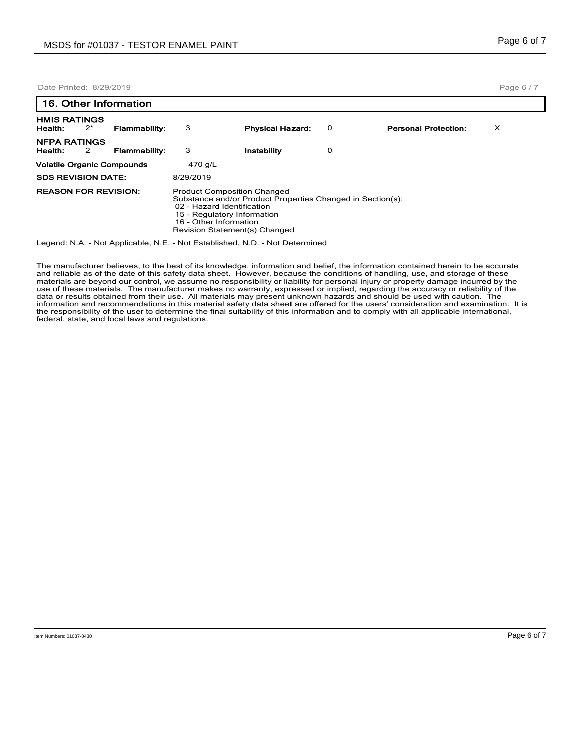|                                   | 16. Other Information |                      |                                                                                                 |                                                            |   |                             |   |  |
|-----------------------------------|-----------------------|----------------------|-------------------------------------------------------------------------------------------------|------------------------------------------------------------|---|-----------------------------|---|--|
| <b>HMIS RATINGS</b><br>Health:    | $2^*$                 | <b>Flammability:</b> | 3                                                                                               | <b>Physical Hazard:</b>                                    | 0 | <b>Personal Protection:</b> | х |  |
| <b>NFPA RATINGS</b><br>Health:    | 2                     | <b>Flammability:</b> | 3                                                                                               | Instability                                                | 0 |                             |   |  |
| <b>Volatile Organic Compounds</b> |                       | 470 g/L              |                                                                                                 |                                                            |   |                             |   |  |
| <b>SDS REVISION DATE:</b>         |                       |                      | 8/29/2019                                                                                       |                                                            |   |                             |   |  |
| <b>REASON FOR REVISION:</b>       |                       |                      | <b>Product Composition Changed</b><br>02 - Hazard Identification<br>15 - Regulatory Information | Substance and/or Product Properties Changed in Section(s): |   |                             |   |  |

 16 - Other Information Revision Statement(s) Changed

Legend: N.A. - Not Applicable, N.E. - Not Established, N.D. - Not Determined

The manufacturer believes, to the best of its knowledge, information and belief, the information contained herein to be accurate and reliable as of the date of this safety data sheet. However, because the conditions of handling, use, and storage of these materials are beyond our control, we assume no responsibility or liability for personal injury or property damage incurred by the<br>use of these materials. The manufacturer makes no warranty, expressed or implied, regarding the responsibility of the user to determine the final suitability of this information and to comply with all applicable international, federal, state, and local laws and regulations.

Item Numbers: 01037-8430 Page 6 of 7

Page 6 / 7